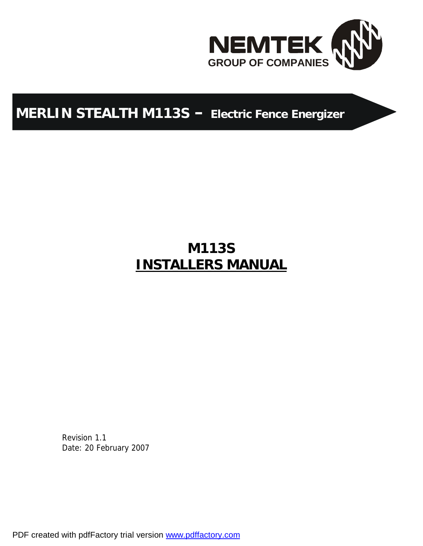

# **MERLIN STEALTH M113S – Electric Fence Energizer**

# **M113S INSTALLERS MANUAL**

Revision 1.1 Date: 20 February 2007

PDF created with pdfFactory trial version [www.pdffactory.com](http://www.pdffactory.com)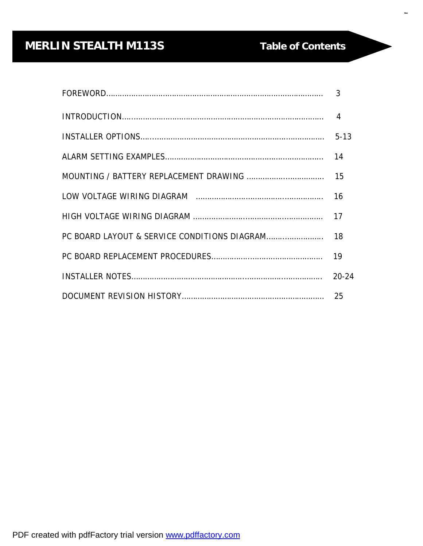# **MERLIN STEALTH M113S Table of Contents**

 $\overline{a}$ 

| $20 - 24$ |
|-----------|
|           |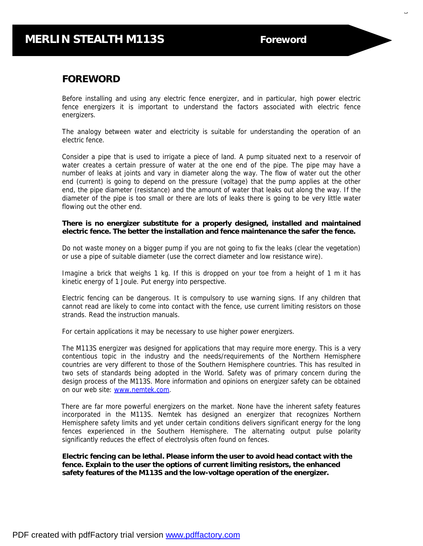$\overline{\phantom{a}}$ 

#### **FOREWORD**

Before installing and using any electric fence energizer, and in particular, high power electric fence energizers it is important to understand the factors associated with electric fence energizers.

The analogy between water and electricity is suitable for understanding the operation of an electric fence.

Consider a pipe that is used to irrigate a piece of land. A pump situated next to a reservoir of water creates a certain pressure of water at the one end of the pipe. The pipe may have a number of leaks at joints and vary in diameter along the way. The flow of water out the other end (current) is going to depend on the pressure (voltage) that the pump applies at the other end, the pipe diameter (resistance) and the amount of water that leaks out along the way. If the diameter of the pipe is too small or there are lots of leaks there is going to be very little water flowing out the other end.

**There is no energizer substitute for a properly designed, installed and maintained electric fence. The better the installation and fence maintenance the safer the fence.** 

Do not waste money on a bigger pump if you are not going to fix the leaks (clear the vegetation) or use a pipe of suitable diameter (use the correct diameter and low resistance wire).

Imagine a brick that weighs 1 kg. If this is dropped on your toe from a height of 1 m it has kinetic energy of 1 Joule. Put energy into perspective.

Electric fencing can be dangerous. It is compulsory to use warning signs. If any children that cannot read are likely to come into contact with the fence, use current limiting resistors on those strands. Read the instruction manuals.

For certain applications it may be necessary to use higher power energizers.

The M113S energizer was designed for applications that may require more energy. This is a very contentious topic in the industry and the needs/requirements of the Northern Hemisphere countries are very different to those of the Southern Hemisphere countries. This has resulted in two sets of standards being adopted in the World. Safety was of primary concern during the design process of the M113S. More information and opinions on energizer safety can be obtained on our web site: [www.nemtek.com](http://www.nemtek.com).

 There are far more powerful energizers on the market. None have the inherent safety features incorporated in the M113S. Nemtek has designed an energizer that recognizes Northern Hemisphere safety limits and yet under certain conditions delivers significant energy for the long fences experienced in the Southern Hemisphere. The alternating output pulse polarity significantly reduces the effect of electrolysis often found on fences.

**Electric fencing can be lethal. Please inform the user to avoid head contact with the fence. Explain to the user the options of current limiting resistors, the enhanced safety features of the M113S and the low-voltage operation of the energizer.**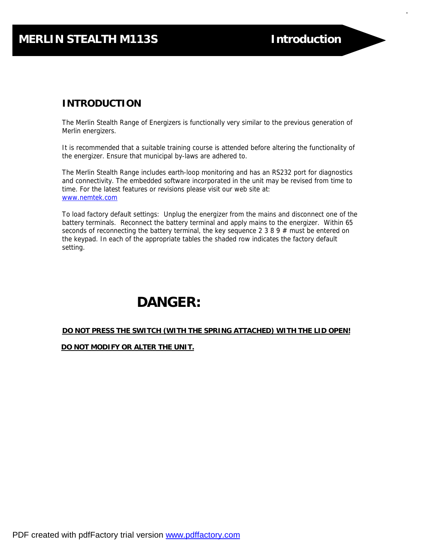4

## **INTRODUCTION**

The Merlin Stealth Range of Energizers is functionally very similar to the previous generation of Merlin energizers.

It is recommended that a suitable training course is attended before altering the functionality of the energizer. Ensure that municipal by-laws are adhered to.

The Merlin Stealth Range includes earth-loop monitoring and has an RS232 port for diagnostics and connectivity. The embedded software incorporated in the unit may be revised from time to time. For the latest features or revisions please visit our web site at: [www.nemtek.com](http://www.nemtek.com)

To load factory default settings: Unplug the energizer from the mains and disconnect one of the battery terminals. Reconnect the battery terminal and apply mains to the energizer. Within 65 seconds of reconnecting the battery terminal, the key sequence 2 3 8 9  $#$  must be entered on the keypad. In each of the appropriate tables the shaded row indicates the factory default setting.

# **DANGER:**

#### **DO NOT PRESS THE SWITCH (WITH THE SPRING ATTACHED) WITH THE LID OPEN!**

 **DO NOT MODIFY OR ALTER THE UNIT.**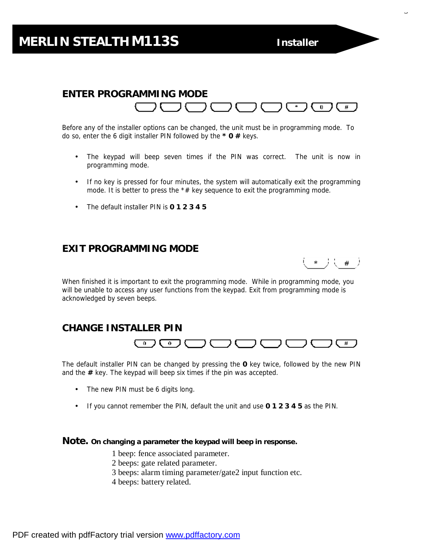## **MERLIN STEALTH M113S Installer**

**Options**

 $\overline{\phantom{0}}$ 

#### **ENTER PROGRAMMING MODE**  ື∃  $\mathbf{0}$  $#$

Before any of the installer options can be changed, the unit must be in programming mode. To do so, enter the 6 digit installer PIN followed by the **\* 0 #** keys.

- The keypad will beep seven times if the PIN was correct. The unit is now in programming mode.
- If no key is pressed for four minutes, the system will automatically exit the programming mode. It is better to press the  $*#$  key sequence to exit the programming mode.
- The default installer PIN is **0 1 2 3 4 5**

#### **EXIT PROGRAMMING MODE**



When finished it is important to exit the programming mode. While in programming mode, you will be unable to access any user functions from the keypad. Exit from programming mode is acknowledged by seven beeps.

#### **CHANGE INSTALLER PIN**



The default installer PIN can be changed by pressing the **0** key twice, followed by the new PIN and the **#** key. The keypad will beep six times if the pin was accepted.

- The new PIN must be 6 digits long.
- If you cannot remember the PIN, default the unit and use **0 1 2 3 4 5** as the PIN.

#### **Note. On changing a parameter the keypad will beep in response.**

- 1 beep: fence associated parameter.
- 2 beeps: gate related parameter.
- 3 beeps: alarm timing parameter/gate2 input function etc.
- 4 beeps: battery related.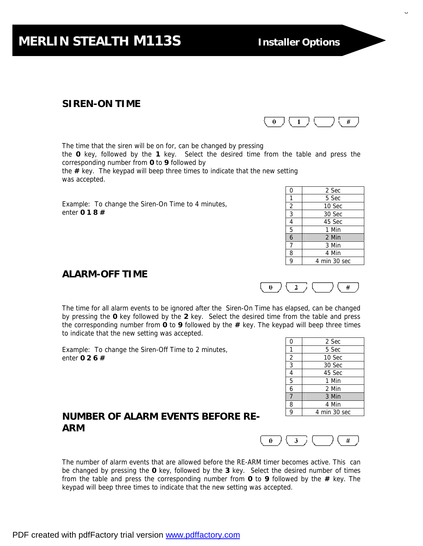## **SIREN-ON TIME**

The time that the siren will be on for, can be changed by pressing the **0** key, followed by the **1** key. Select the desired time from the table and press the corresponding number from **0** to **9** followed by the **#** key. The keypad will beep three times to indicate that the new setting was accepted.

Example: To change the Siren-On Time to 4 minutes, enter **0 1 8 #**

## **ALARM-OFF TIME**

The time for all alarm events to be ignored after the Siren-On Time has elapsed, can be changed by pressing the **0** key followed by the **2** key. Select the desired time from the table and press the corresponding number from **0** to **9** followed by the **#** key. The keypad will beep three times to indicate that the new setting was accepted.

Example: To change the Siren-Off Time to 2 minutes, enter **0 2 6 #**

The number of alarm events that are allowed before the RE-ARM timer becomes active. This can be changed by pressing the **0** key, followed by the **3** key. Select the desired number of times from the table and press the corresponding number from **0** to **9** followed by the **#** key. The

## **NUMBER OF ALARM EVENTS BEFORE RE-ARM**

keypad will beep three times to indicate that the new setting was accepted.

| 0              | 2 Sec        |
|----------------|--------------|
| 1              | 5 Sec        |
| $\overline{2}$ | 10 Sec       |
| $\overline{3}$ | 30 Sec       |
| 4              | 45 Sec       |
| $\overline{5}$ | 1 Min        |
| $\overline{6}$ | 2 Min        |
| 7              | 3 Min        |
| 8              | 4 Min        |
| q              | 4 min 30 sec |







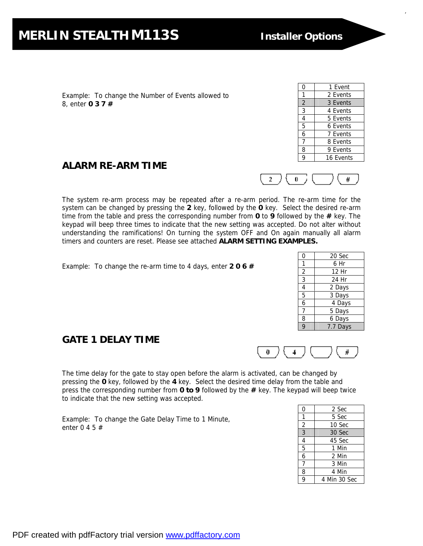Example: To change the Number of Events allowed to 8, enter **0 3 7 #** 

## **ALARM RE-ARM TIME**

7



The system re-arm process may be repeated after a re-arm period. The re-arm time for the system can be changed by pressing the **2** key, followed by the **0** key. Select the desired re-arm time from the table and press the corresponding number from **0** to **9** followed by the **#** key. The keypad will beep three times to indicate that the new setting was accepted. Do not alter without understanding the ramifications! On turning the system OFF and On again manually all alarm timers and counters are reset. Please see attached **ALARM SETTING EXAMPLES.**

Example: To change the re-arm time to 4 days, enter **2 0 6 #** 

#### 0 20 Sec 1 6 Hr 2 | 12 Hr 3 24 Hr 4 2 Days 5 3 Days 6 4 Days  $7 \mid 5 \text{ Days}$ 8 6 Days 9 7.7 Days



**GATE 1 DELAY TIME** 

The time delay for the gate to stay open before the alarm is activated, can be changed by pressing the **0** key, followed by the **4** key. Select the desired time delay from the table and press the corresponding number from **0 to 9** followed by the **#** key. The keypad will beep twice to indicate that the new setting was accepted.

Example: To change the Gate Delay Time to 1 Minute, enter 0 4 5 #

| 0              | 2 Sec        |
|----------------|--------------|
| 1              | 5 Sec        |
| 2              | 10 Sec       |
| $\overline{3}$ | 30 Sec       |
| $\overline{4}$ | 45 Sec       |
| 5              | 1 Min        |
| 6              | 2 Min        |
| 7              | 3 Min        |
| 8              | 4 Min        |
| 9              | 4 Min 30 Sec |
|                |              |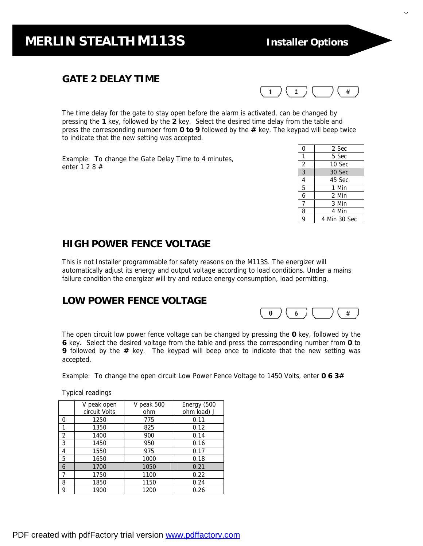#### **GATE 2 DELAY TIME**



The time delay for the gate to stay open before the alarm is activated, can be changed by pressing the **1** key, followed by the **2** key. Select the desired time delay from the table and press the corresponding number from **0 to 9** followed by the **#** key. The keypad will beep twice to indicate that the new setting was accepted.

Example: To change the Gate Delay Time to 4 minutes, enter 1 2 8 #

| 0              | 2 Sec        |
|----------------|--------------|
| 1              | 5 Sec        |
| $\overline{2}$ | 10 Sec       |
| $\overline{3}$ | 30 Sec       |
| $\overline{4}$ | 45 Sec       |
| $\overline{5}$ | 1 Min        |
| $\overline{6}$ | 2 Min        |
| 7              | 3 Min        |
| 8              | 4 Min        |
| 9              | 4 Min 30 Sec |

## **HIGH POWER FENCE VOLTAGE**

This is not Installer programmable for safety reasons on the M113S. The energizer will automatically adjust its energy and output voltage according to load conditions. Under a mains failure condition the energizer will try and reduce energy consumption, load permitting.

#### **LOW POWER FENCE VOLTAGE**



The open circuit low power fence voltage can be changed by pressing the **0** key, followed by the **6** key. Select the desired voltage from the table and press the corresponding number from **0** to **9** followed by the **#** key. The keypad will beep once to indicate that the new setting was accepted.

Example: To change the open circuit Low Power Fence Voltage to 1450 Volts, enter **0 6 3#** 

Typical readings

|                | V peak open   | V peak 500 | Energy (500 |
|----------------|---------------|------------|-------------|
|                | circuit Volts | ohm        | ohm load) J |
| 0              | 1250          | 775        | 0.11        |
| 1              | 1350          | 825        | 0.12        |
| $\overline{2}$ | 1400          | 900        | 0.14        |
| 3              | 1450          | 950        | 0.16        |
| 4              | 1550          | 975        | 0.17        |
| 5              | 1650          | 1000       | 0.18        |
| 6              | 1700          | 1050       | 0.21        |
| 7              | 1750          | 1100       | 0.22        |
| 8              | 1850          | 1150       | 0.24        |
| 9              | 1900          | 1200       | 0.26        |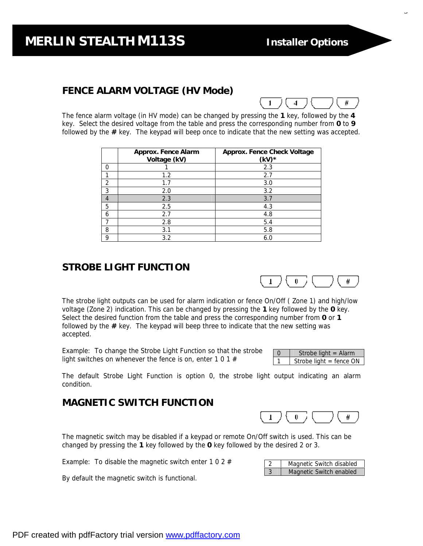9

## **FENCE ALARM VOLTAGE (HV Mode)**



The fence alarm voltage (in HV mode) can be changed by pressing the **1** key, followed by the **4** key. Select the desired voltage from the table and press the corresponding number from **0** to **9** followed by the **#** key. The keypad will beep once to indicate that the new setting was accepted.

|   | Approx. Fence Alarm<br>Voltage (kV) | Approx. Fence Check Voltage<br>$(kV)$ * |
|---|-------------------------------------|-----------------------------------------|
| 0 |                                     | 2.3                                     |
|   | 1.2                                 | 2.7                                     |
| 2 | 1.7                                 | 3.0                                     |
| 3 | 2.0                                 | 3.2                                     |
| 4 | 2.3                                 | 3.7                                     |
| 5 | 2.5                                 | 4.3                                     |
| 6 | 2.7                                 | 4.8                                     |
|   | 2.8                                 | 5.4                                     |
| 8 | 3.1                                 | 5.8                                     |
| 9 | 3.2                                 | 6.0                                     |

## **STROBE LIGHT FUNCTION**



The strobe light outputs can be used for alarm indication or fence On/Off ( Zone 1) and high/low voltage (Zone 2) indication. This can be changed by pressing the **1** key followed by the **0** key. Select the desired function from the table and press the corresponding number from **0** or **1** followed by the **#** key. The keypad will beep three to indicate that the new setting was accepted.

Example: To change the Strobe Light Function so that the strobe light switches on whenever the fence is on, enter 1 0 1 #

| $\Omega$ | Strobe light = $\text{Alarm}$ |
|----------|-------------------------------|
|          | Strobe light $=$ fence ON     |

The default Strobe Light Function is option 0, the strobe light output indicating an alarm condition.

#### **MAGNETIC SWITCH FUNCTION**



Magnetic Switch disabled Magnetic Switch enabled

The magnetic switch may be disabled if a keypad or remote On/Off switch is used. This can be changed by pressing the **1** key followed by the **0** key followed by the desired 2 or 3.

Example: To disable the magnetic switch enter 1 0 2  $#$ 

By default the magnetic switch is functional.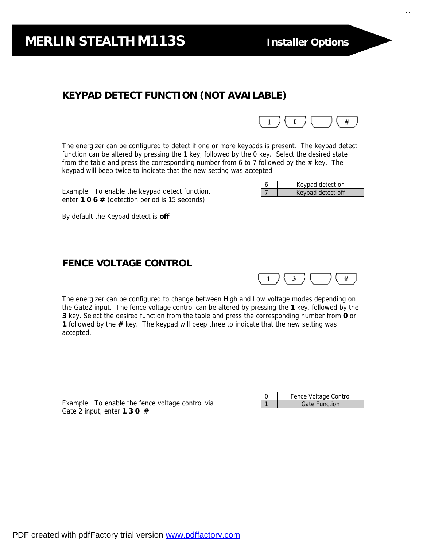## **KEYPAD DETECT FUNCTION (NOT AVAILABLE)**



6 Keypad detect on

7 | Keypad detect off

The energizer can be configured to detect if one or more keypads is present. The keypad detect function can be altered by pressing the 1 key, followed by the 0 key. Select the desired state from the table and press the corresponding number from 6 to 7 followed by the  $#$  key. The keypad will beep twice to indicate that the new setting was accepted.

Example: To enable the keypad detect function, enter **1 0 6 #** (detection period is 15 seconds)

By default the Keypad detect is **off**.

#### **FENCE VOLTAGE CONTROL**



The energizer can be configured to change between High and Low voltage modes depending on the Gate2 input. The fence voltage control can be altered by pressing the **1** key, followed by the **3** key. Select the desired function from the table and press the corresponding number from **0** or **1** followed by the **#** key. The keypad will beep three to indicate that the new setting was accepted.

Example: To enable the fence voltage control via Gate 2 input, enter **1 3 0 #**

| Fence Voltage Control |
|-----------------------|
| <b>Gate Function</b>  |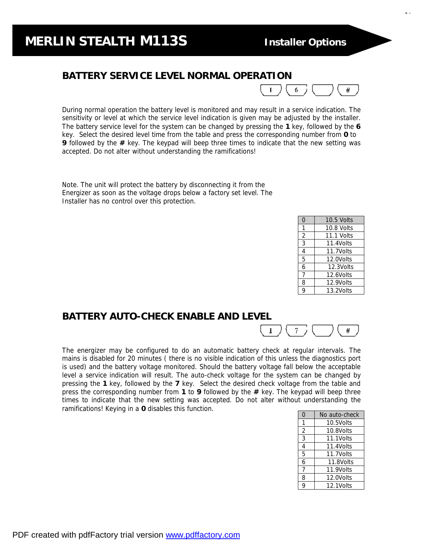<sub>11</sub>

#### **BATTERY SERVICE LEVEL NORMAL OPERATION**



During normal operation the battery level is monitored and may result in a service indication. The sensitivity or level at which the service level indication is given may be adjusted by the installer. The battery service level for the system can be changed by pressing the **1** key, followed by the **6** key. Select the desired level time from the table and press the corresponding number from **0** to **9** followed by the **#** key. The keypad will beep three times to indicate that the new setting was accepted. Do not alter without understanding the ramifications!

Note. The unit will protect the battery by disconnecting it from the Energizer as soon as the voltage drops below a factory set level. The Installer has no control over this protection.

| 0              | $10.5$ Volts |
|----------------|--------------|
| 1              | 10.8 Volts   |
| 2              | 11.1 Volts   |
| $\overline{3}$ | 11.4Volts    |
| 4              | 11.7Volts    |
| 5              | 12.0Volts    |
| 6              | 12.3Volts    |
| 7              | 12.6Volts    |
| 8              | 12.9Volts    |
| 9              | 13.2Volts    |

#### **BATTERY AUTO-CHECK ENABLE AND LEVEL**



The energizer may be configured to do an automatic battery check at regular intervals. The mains is disabled for 20 minutes ( there is no visible indication of this unless the diagnostics port is used) and the battery voltage monitored. Should the battery voltage fall below the acceptable level a service indication will result. The auto-check voltage for the system can be changed by pressing the **1** key, followed by the **7** key. Select the desired check voltage from the table and press the corresponding number from **1** to **9** followed by the **#** key. The keypad will beep three times to indicate that the new setting was accepted. Do not alter without understanding the ramifications! Keying in a **0** disables this function.

| 0 | No auto-check |
|---|---------------|
| 1 | 10.5Volts     |
| 2 | 10.8Volts     |
| 3 | 11.1Volts     |
| 4 | 11.4Volts     |
| 5 | 11.7Volts     |
| 6 | 11.8Volts     |
| 7 | 11.9Volts     |
| 8 | 12.0Volts     |
| 9 | 12.1Volts     |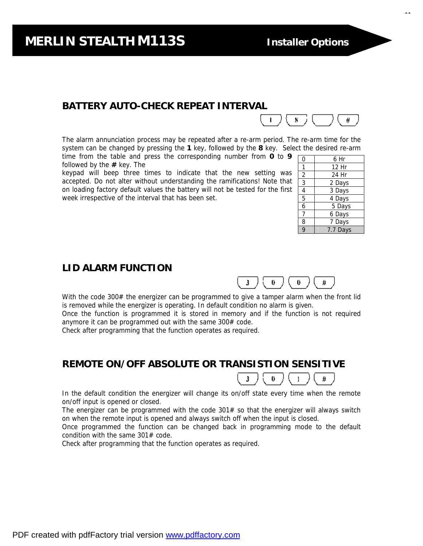## **BATTERY AUTO-CHECK REPEAT INTERVAL**

The alarm annunciation process may be repeated after a re-arm period. The re-arm time for the system can be changed by pressing the **1** key, followed by the **8** key. Select the desired re-arm time from the table and press the corresponding number from **0** to **9**

followed by the **#** key. The

keypad will beep three times to indicate that the new setting was accepted. Do not alter without understanding the ramifications! Note that on loading factory default values the battery will not be tested for the first week irrespective of the interval that has been set.

| 0              | 6 Hr     |
|----------------|----------|
| 1              | 12 Hr    |
| $\overline{2}$ | 24 Hr    |
| 3              | 2 Days   |
| 4              | 3 Days   |
| $\overline{5}$ | 4 Days   |
| 6              | 5 Days   |
| 7              | 6 Days   |
| 8              | 7 Days   |
| $\overline{9}$ | 7.7 Days |

₩.

#### **LID ALARM FUNCTION**



 $\mathbf{L}$ 

8

With the code 300# the energizer can be programmed to give a tamper alarm when the front lid is removed while the energizer is operating. In default condition no alarm is given.

Once the function is programmed it is stored in memory and if the function is not required anymore it can be programmed out with the same 300# code.

Check after programming that the function operates as required.

**REMOTE ON/OFF ABSOLUTE OR TRANSISTION SENSITIVE** 



In the default condition the energizer will change its on/off state every time when the remote on/off input is opened or closed.

The energizer can be programmed with the code  $301#$  so that the energizer will always switch on when the remote input is opened and always switch off when the input is closed.

Once programmed the function can be changed back in programming mode to the default condition with the same 301# code.

Check after programming that the function operates as required.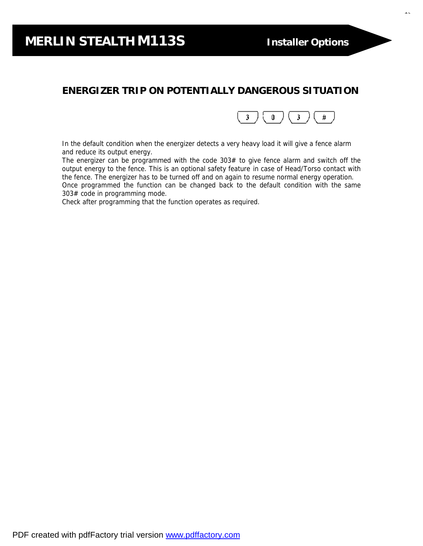$\ddot{\phantom{1}}$ 

## **ENERGIZER TRIP ON POTENTIALLY DANGEROUS SITUATION**



In the default condition when the energizer detects a very heavy load it will give a fence alarm and reduce its output energy.

The energizer can be programmed with the code  $303#$  to give fence alarm and switch off the output energy to the fence. This is an optional safety feature in case of Head/Torso contact with the fence. The energizer has to be turned off and on again to resume normal energy operation. Once programmed the function can be changed back to the default condition with the same 303# code in programming mode.

Check after programming that the function operates as required.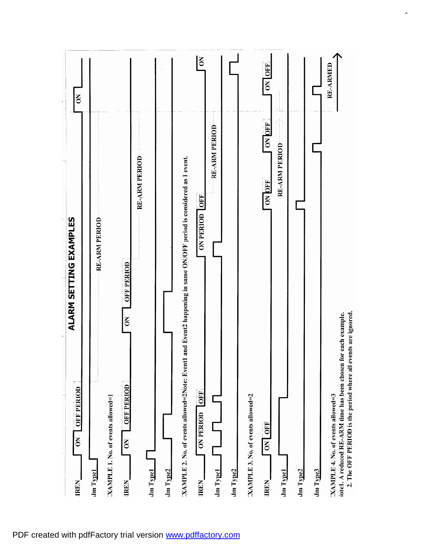| ALARM SETTING EXAMPLES<br>$\frac{1}{2}$<br><b>OFF PERIOD</b><br>$\mathsf{S}$<br><b>IREN</b>                                                                          | $\overline{5}$<br>$\overline{\mathbf{r}}$ |          |
|----------------------------------------------------------------------------------------------------------------------------------------------------------------------|-------------------------------------------|----------|
| <b>RE-ARM PERIOD</b><br>$\mathop{\rm Im}\nolimits{\rm T}\mathop{\rm {\bf ypd}}$                                                                                      |                                           |          |
| XAMPLE 1. No. of events allowed=1                                                                                                                                    |                                           |          |
| <b>OFF PERIOD</b><br>$\mathsf{S}$<br><b>OFF PERIOD</b><br>$\mathsf{S}$<br><b>IREN</b>                                                                                |                                           |          |
| <b>RE-ARM PERIOD</b><br><b>Jm</b> Type1                                                                                                                              |                                           |          |
| Im Type2                                                                                                                                                             |                                           |          |
| and Event2 happening in same ON/OFF period is considered as 1 event.<br>XAMPLE 2. No. of events allowed=2Note: Event1                                                |                                           |          |
| <b>ON PERIOD OFF</b><br>OFF<br><b>ON PERIOD</b><br><b>IREN</b>                                                                                                       |                                           | $\delta$ |
| <b>Jm</b> Typel                                                                                                                                                      | <b>RE-ARM PERIOD</b>                      |          |
| Jm Type2                                                                                                                                                             |                                           |          |
| XAMPLE 3. No. of events allowed=2                                                                                                                                    |                                           |          |
| ON OFF<br>ON OFF<br><b>IREN</b>                                                                                                                                      | ON OFF<br>ON OFF                          |          |
| lm Typel                                                                                                                                                             | RE-ARM PERIOD                             |          |
| Jm Type2                                                                                                                                                             |                                           |          |
| Jm Type3                                                                                                                                                             |                                           |          |
| 2. The OFF PERIOD is the period where all events are ignored.<br>lote1. A reduced RE-ARM time has been chosen for each example.<br>XAMPLE 4. No. of events allowed=3 | RE-ARMED                                  |          |

 $\ddot{\phantom{1}}$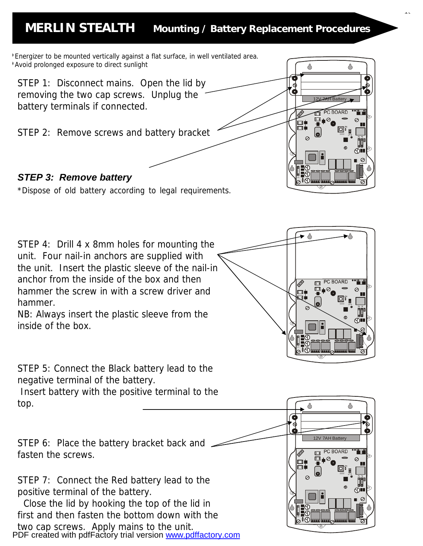## **MERLIN STEALTH Mounting / Battery Replacement Procedures**



PDF created with pdfFactory trial version [www.pdffactory.com](http://www.pdffactory.com)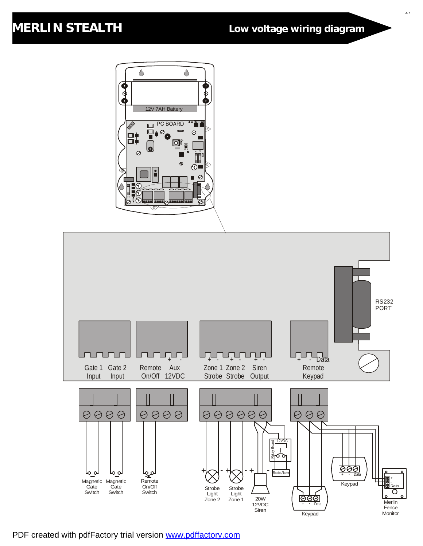## **MERLIN STEALTH Low voltage wiring diagram**

 $\ddot{\phantom{0}}$ 





PDF created with pdfFactory trial version [www.pdffactory.com](http://www.pdffactory.com)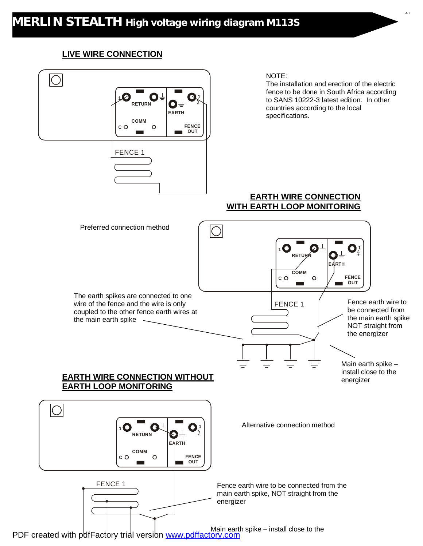#### **LIVE WIRE CONNECTION**



17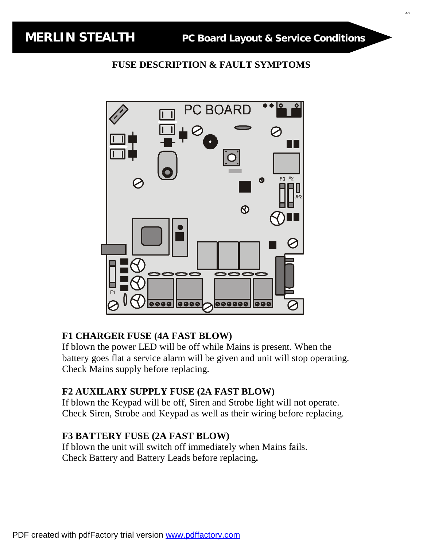$\ddot{\phantom{0}}$ 

#### **FUSE DESCRIPTION & FAULT SYMPTOMS**



#### **F1 CHARGER FUSE (4A FAST BLOW)**

If blown the power LED will be off while Mains is present. When the battery goes flat a service alarm will be given and unit will stop operating. Check Mains supply before replacing.

## **F2 AUXILARY SUPPLY FUSE (2A FAST BLOW)**

If blown the Keypad will be off, Siren and Strobe light will not operate. Check Siren, Strobe and Keypad as well as their wiring before replacing.

#### **F3 BATTERY FUSE (2A FAST BLOW)**

If blown the unit will switch off immediately when Mains fails. Check Battery and Battery Leads before replacing**.**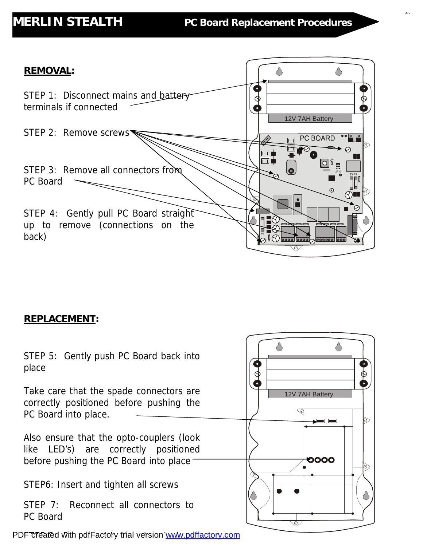$\mathbf{1}$ 



## **REPLACEMENT:**

♦ ♦ *STEP 5: Gently push PC Board back into place*  \$  $\phi$ *Take care that the spade connectors are*  12V 7AH Battery *correctly positioned before pushing the PC Board into place.*  </del> *Also ensure that the opto-couplers (look like LED's) are correctly positioned*  0000 *before pushing the PC Board into place STEP6: Insert and tighten all screws*  Ő *STEP 7: Reconnect all connectors to PC Board* 

*STEP 8: Reconnect battery terminals* PDF created with pdfFactory trial version [www.pdffactory.com](http://www.pdffactory.com)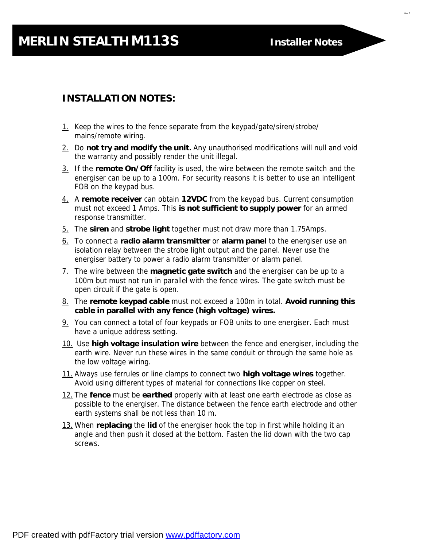# **MERLIN STEALTH M113S Installer Notes**

 $\overline{a}$ 

## **INSTALLATION NOTES:**

- 1. Keep the wires to the fence separate from the keypad/gate/siren/strobe/ mains/remote wiring.
- 2. Do **not try and modify the unit.** Any unauthorised modifications will null and void the warranty and possibly render the unit illegal.
- 3. If the **remote On/Off** facility is used, the wire between the remote switch and the energiser can be up to a 100m. For security reasons it is better to use an intelligent FOB on the keypad bus.
- 4. A **remote receiver** can obtain **12VDC** from the keypad bus. Current consumption must not exceed 1 Amps. This **is not sufficient to supply power** for an armed response transmitter.
- 5. The **siren** and **strobe light** together must not draw more than 1.75Amps.
- 6. To connect a **radio alarm transmitter** or **alarm panel** to the energiser use an isolation relay between the strobe light output and the panel. Never use the energiser battery to power a radio alarm transmitter or alarm panel.
- 7. The wire between the **magnetic gate switch** and the energiser can be up to a 100m but must not run in parallel with the fence wires. The gate switch must be open circuit if the gate is open.
- 8. The **remote keypad cable** must not exceed a 100m in total. **Avoid running this cable in parallel with any fence (high voltage) wires.**
- 9. You can connect a total of four keypads or FOB units to one energiser. Each must have a unique address setting.
- 10. Use **high voltage insulation wire** between the fence and energiser, including the earth wire. Never run these wires in the same conduit or through the same hole as the low voltage wiring.
- 11. Always use ferrules or line clamps to connect two **high voltage wires** together. Avoid using different types of material for connections like copper on steel.
- 12. The **fence** must be **earthed** properly with at least one earth electrode as close as possible to the energiser. The distance between the fence earth electrode and other earth systems shall be not less than 10 m.
- 13. When **replacing** the **lid** of the energiser hook the top in first while holding it an angle and then push it closed at the bottom. Fasten the lid down with the two cap screws.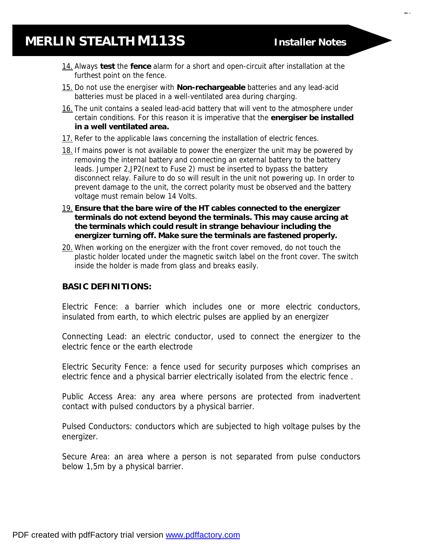21

- 14. Always **test** the **fence** alarm for a short and open-circuit after installation at the furthest point on the fence.
- 15. Do not use the energiser with **Non-rechargeable** batteries and any lead-acid batteries must be placed in a well-ventilated area during charging.
- 16. The unit contains a sealed lead-acid battery that will vent to the atmosphere under certain conditions. For this reason it is imperative that the **energiser be installed in a well ventilated area.**
- 17. Refer to the applicable laws concerning the installation of electric fences.
- 18. If mains power is not available to power the energizer the unit may be powered by removing the internal battery and connecting an external battery to the battery leads. Jumper 2,JP2(next to Fuse 2) must be inserted to bypass the battery disconnect relay. Failure to do so will result in the unit not powering up. In order to prevent damage to the unit, the correct polarity must be observed and the battery voltage must remain below 14 Volts.
- 19. **Ensure that the bare wire of the HT cables connected to the energizer terminals do not extend beyond the terminals. This may cause arcing at the terminals which could result in strange behaviour including the energizer turning off. Make sure the terminals are fastened properly.**
- 20. When working on the energizer with the front cover removed, do not touch the plastic holder located under the magnetic switch label on the front cover. The switch inside the holder is made from glass and breaks easily.

#### **BASIC DEFINITIONS:**

Electric Fence: a barrier which includes one or more electric conductors, insulated from earth, to which electric pulses are applied by an energizer

Connecting Lead: an electric conductor, used to connect the energizer to the electric fence or the earth electrode

Electric Security Fence: a fence used for security purposes which comprises an electric fence and a physical barrier electrically isolated from the electric fence .

Public Access Area: any area where persons are protected from inadvertent contact with pulsed conductors by a physical barrier.

Pulsed Conductors: conductors which are subjected to high voltage pulses by the energizer.

Secure Area: an area where a person is not separated from pulse conductors below 1,5m by a physical barrier.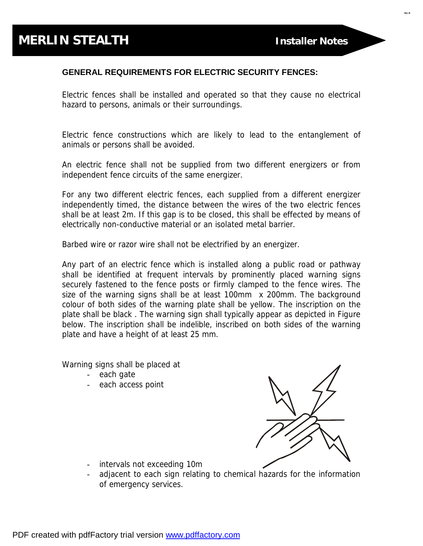ا د

#### **GENERAL REQUIREMENTS FOR ELECTRIC SECURITY FENCES:**

Electric fences shall be installed and operated so that they cause no electrical hazard to persons, animals or their surroundings.

Electric fence constructions which are likely to lead to the entanglement of animals or persons shall be avoided.

An electric fence shall not be supplied from two different energizers or from independent fence circuits of the same energizer.

For any two different electric fences, each supplied from a different energizer independently timed, the distance between the wires of the two electric fences shall be at least 2m. If this gap is to be closed, this shall be effected by means of electrically non-conductive material or an isolated metal barrier.

Barbed wire or razor wire shall not be electrified by an energizer.

Any part of an electric fence which is installed along a public road or pathway shall be identified at frequent intervals by prominently placed warning signs securely fastened to the fence posts or firmly clamped to the fence wires. The size of the warning signs shall be at least 100mm x 200mm. The background colour of both sides of the warning plate shall be yellow. The inscription on the plate shall be black . The warning sign shall typically appear as depicted in Figure below. The inscription shall be indelible, inscribed on both sides of the warning plate and have a height of at least 25 mm.

Warning signs shall be placed at

- each gate
- each access point



- intervals not exceeding 10m
- adjacent to each sign relating to chemical hazards for the information of emergency services.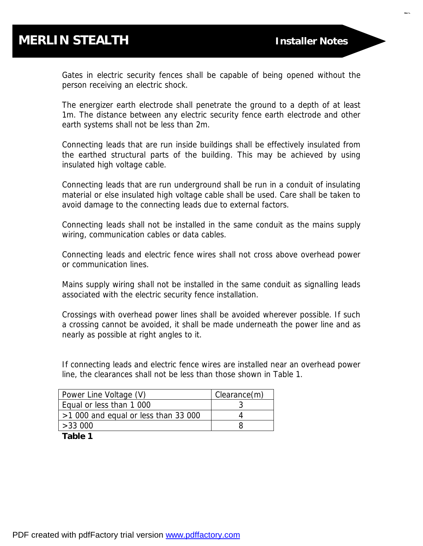..

Gates in electric security fences shall be capable of being opened without the person receiving an electric shock.

The energizer earth electrode shall penetrate the ground to a depth of at least 1m. The distance between any electric security fence earth electrode and other earth systems shall not be less than 2m.

Connecting leads that are run inside buildings shall be effectively insulated from the earthed structural parts of the building. This may be achieved by using insulated high voltage cable.

Connecting leads that are run underground shall be run in a conduit of insulating material or else insulated high voltage cable shall be used. Care shall be taken to avoid damage to the connecting leads due to external factors.

Connecting leads shall not be installed in the same conduit as the mains supply wiring, communication cables or data cables.

Connecting leads and electric fence wires shall not cross above overhead power or communication lines.

Mains supply wiring shall not be installed in the same conduit as signalling leads associated with the electric security fence installation.

Crossings with overhead power lines shall be avoided wherever possible. If such a crossing cannot be avoided, it shall be made underneath the power line and as nearly as possible at right angles to it.

If connecting leads and electric fence wires are installed near an overhead power line, the clearances shall not be less than those shown in Table 1.

| Power Line Voltage (V)               | Clearance(m) |
|--------------------------------------|--------------|
| Equal or less than 1 000             |              |
| $>1000$ and equal or less than 33000 |              |
| >33000                               |              |

**Table 1**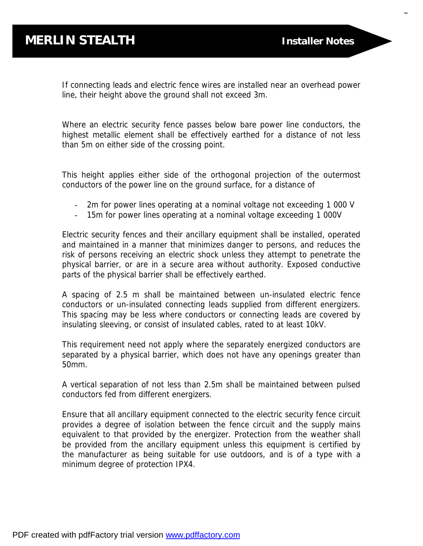$\overline{a}$ 

If connecting leads and electric fence wires are installed near an overhead power line, their height above the ground shall not exceed 3m.

Where an electric security fence passes below bare power line conductors, the highest metallic element shall be effectively earthed for a distance of not less than 5m on either side of the crossing point.

This height applies either side of the orthogonal projection of the outermost conductors of the power line on the ground surface, for a distance of

- 2m for power lines operating at a nominal voltage not exceeding 1 000 V
- 15m for power lines operating at a nominal voltage exceeding 1 000V

Electric security fences and their ancillary equipment shall be installed, operated and maintained in a manner that minimizes danger to persons, and reduces the risk of persons receiving an electric shock unless they attempt to penetrate the physical barrier, or are in a secure area without authority. Exposed conductive parts of the physical barrier shall be effectively earthed.

A spacing of 2.5 m shall be maintained between un-insulated electric fence conductors or un-insulated connecting leads supplied from different energizers. This spacing may be less where conductors or connecting leads are covered by insulating sleeving, or consist of insulated cables, rated to at least 10kV.

This requirement need not apply where the separately energized conductors are separated by a physical barrier, which does not have any openings greater than 50mm.

A vertical separation of not less than 2.5m shall be maintained between pulsed conductors fed from different energizers.

Ensure that all ancillary equipment connected to the electric security fence circuit provides a degree of isolation between the fence circuit and the supply mains equivalent to that provided by the energizer. Protection from the weather shall be provided from the ancillary equipment unless this equipment is certified by the manufacturer as being suitable for use outdoors, and is of a type with a minimum degree of protection IPX4.